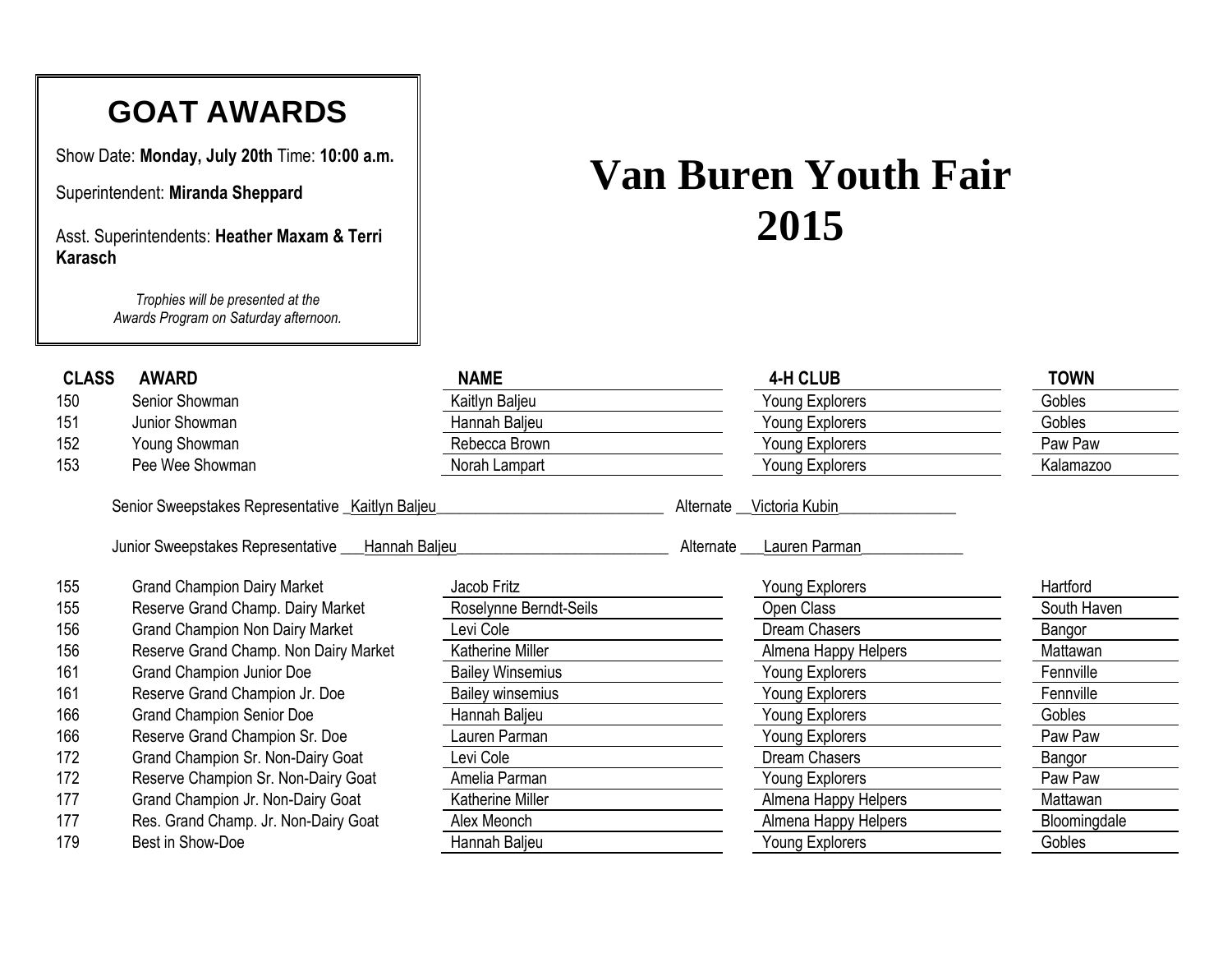## **GOAT AWARDS**

Show Date: **Monday, July 20th** Time: **10:00 a.m.**

Superintendent: **Miranda Sheppard**

Asst. Superintendents: **Heather Maxam & Terri Karasch**

> *Trophies will be presented at the Awards Program on Saturday afternoon.*

## **Van Buren Youth Fair**

| <b>CLASS</b> | <b>AWARD</b>                                            | <b>NAME</b>             |           | <b>4-H CLUB</b>      | TOWN         |
|--------------|---------------------------------------------------------|-------------------------|-----------|----------------------|--------------|
| 150          | Senior Showman                                          | Kaitlyn Baljeu          |           | Young Explorers      | Gobles       |
| 151          | Junior Showman                                          | Hannah Baljeu           |           | Young Explorers      | Gobles       |
| 152          | Young Showman                                           | Rebecca Brown           |           | Young Explorers      | Paw Paw      |
| 153          | Pee Wee Showman                                         | Norah Lampart           |           | Young Explorers      | Kalamazoo    |
|              | Senior Sweepstakes Representative _Kaitlyn Baljeu       |                         | Alternate | Victoria Kubin       |              |
|              | Junior Sweepstakes Representative __<br>_Hannah Baljeu_ |                         | Alternate | Lauren Parman        |              |
| 155          | <b>Grand Champion Dairy Market</b>                      | Jacob Fritz             |           | Young Explorers      | Hartford     |
| 155          | Reserve Grand Champ. Dairy Market                       | Roselynne Berndt-Seils  |           | Open Class           | South Haven  |
| 156          | <b>Grand Champion Non Dairy Market</b>                  | evi Cole                |           | Dream Chasers        | Bangor       |
| 156          | Reserve Grand Champ. Non Dairy Market                   | <b>Katherine Miller</b> |           | Almena Happy Helpers | Mattawan     |
| 161          | <b>Grand Champion Junior Doe</b>                        | <b>Bailey Winsemius</b> |           | Young Explorers      | Fennville    |
| 161          | Reserve Grand Champion Jr. Doe                          | <b>Bailey winsemius</b> |           | Young Explorers      | Fennville    |
| 166          | <b>Grand Champion Senior Doe</b>                        | Hannah Baljeu           |           | Young Explorers      | Gobles       |
| 166          | Reserve Grand Champion Sr. Doe                          | auren Parman            |           | Young Explorers      | Paw Paw      |
| 172          | Grand Champion Sr. Non-Dairy Goat                       | Levi Cole               |           | Dream Chasers        | Bangor       |
| 172          | Reserve Champion Sr. Non-Dairy Goat                     | Amelia Parman           |           | Young Explorers      | Paw Paw      |
| 177          | Grand Champion Jr. Non-Dairy Goat                       | Katherine Miller        |           | Almena Happy Helpers | Mattawan     |
| 177          | Res. Grand Champ. Jr. Non-Dairy Goat                    | Alex Meonch             |           | Almena Happy Helpers | Bloomingdale |
| 179          | Best in Show-Doe                                        | Hannah Baljeu           |           | Young Explorers      | Gobles       |